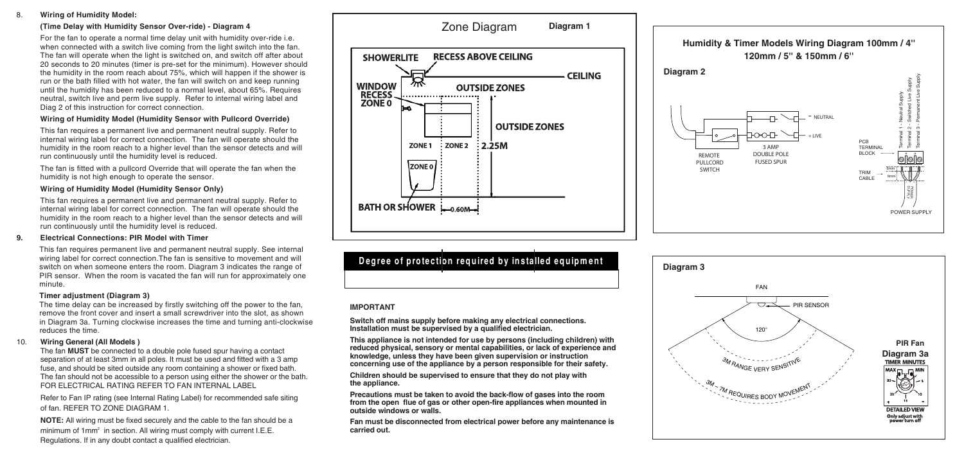#### 8. **Wiring of Humidity Model:**

## **(Time Delay with Humidity Sensor Over-ride) - Diagram 4**

For the fan to operate a normal time delay unit with humidity over-ride i.e. when connected with a switch live coming from the light switch into the fan. The fan will operate when the light is switched on, and switch off after about 20 seconds to 20 minutes (timer is pre-set for the minimum). However should the humidity in the room reach about 75%, which will happen if the shower is run or the bath filled with hot water, the fan will switch on and keep running until the humidity has been reduced to a normal level, about 65%. Requires neutral, switch live and perm live supply. Refer to internal wiring label and Diag 2 of this instruction for correct connection.

#### **Wiring of Humidity Model (Humidity Sensor with Pullcord Override)**

This fan requires a permanent live and permanent neutral supply. Refer to internal wiring label for correct connection. The fan will operate should the humidity in the room reach to a higher level than the sensor detects and will run continuously until the humidity level is reduced.

The fan is fitted with a pullcord Override that will operate the fan when the humidity is not high enough to operate the sensor.

### **Wiring of Humidity Model (Humidity Sensor Only)**

This fan requires a permanent live and permanent neutral supply. Refer to internal wiring label for correct connection. The fan will operate should the humidity in the room reach to a higher level than the sensor detects and will run continuously until the humidity level is reduced.

#### **9. Electrical Connections: PIR Model with Timer**

This fan requires permanent live and permanent neutral supply. See internal wiring label for correct connection.The fan is sensitive to movement and will switch on when someone enters the room. Diagram 3 indicates the range of PIR sensor. When the room is vacated the fan will run for approximately one minute.

#### **Timer adjustment (Diagram 3)**

The time delay can be increased by firstly switching off the power to the fan, remove the front cover and insert a small screwdriver into the slot, as shown in Diagram 3a. Turning clockwise increases the time and turning anti-clockwise reduces the time.

### 10. **Wiring General (All Models )**

The fan **MUST** be connected to a double pole fused spur having a contact separation of at least 3mm in all poles. It must be used and fitted with a 3 amp fuse, and should be sited outside any room containing a shower or fixed bath. The fan should not be accessible to a person using either the shower or the bath. FOR ELECTRICAL RATING REFER TO FAN INTERNAL LABEL

Refer to Fan IP rating (see Internal Rating Label) for recommended safe siting of fan. REFER TO ZONE DIAGRAM 1.

**NOTE:** All wiring must be fixed securely and the cable to the fan should be a minimum of 1mm<sup>2</sup> in section. All wiring must comply with current I.E.E. Regulations. If in any doubt contact a qualified electrician.



# **Degree of protection required by installed equipm ent**

### **IMPORTANT**

**Switch off mains supply before making any electrical connections. Installation must be supervised by a qualified electrician.**

**This appliance is not intended for use by persons (including children) with reduced physical, sensory or mental capabilities, or lack of experience and knowledge, unless they have been given supervision or instruction concerning use of the appliance by a person responsible for their safety.**

**Children should be supervised to ensure that they do not play with the appliance.**

**Precautions must be taken to avoid the back-flow of gases into the room from the open flue of gas or other open-fire appliances when mounted in outside windows or walls.**

**Fan must be disconnected from electrical power before any maintenance is carried out.**